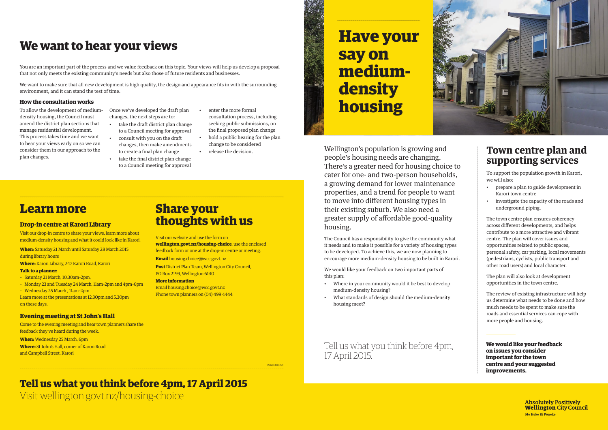Wellington's population is growing and people's housing needs are changing. There's a greater need for housing choice to cater for one- and two-person households, a growing demand for lower maintenance properties, and a trend for people to want to move into different housing types in their existing suburb. We also need a greater supply of affordable good-quality housing.

The Council has a responsibility to give the community what it needs and to make it possible for a variety of housing types to be developed. To achieve this, we are now planning to encourage more medium-density housing to be built in Karori.

We would like your feedback on two important parts of this plan:

- Where in your community would it be best to develop medium-density housing?
- What standards of design should the medium-density housing meet?

# **Have your say on mediumdensity housing**

**We would like your feedback on issues you consider important for the town centre and your suggested improvements.**

> **Absolutely Positively Wellington City Council** Me Heke Ki Põneke

## **Town centre plan and supporting services**

You are an important part of the process and we value feedback on this topic. Your views will help us develop a proposal that not only meets the existing community's needs but also those of future residents and businesses.

> To support the population growth in Karori, we will also:

- prepare a plan to guide development in Karori town centre
- investigate the capacity of the roads and underground piping.

The town centre plan ensures coherency across different developments, and helps contribute to a more attractive and vibrant centre. The plan will cover issues and opportunities related to public spaces, personal safety, car parking, local movements (pedestrians, cyclists, public transport and other road users) and local character.

The plan will also look at development opportunities in the town centre.

The review of existing infrastructure will help us determine what needs to be done and how much needs to be spent to make sure the roads and essential services can cope with more people and housing.

Tell us what you think before 4pm, 17 April 2015.

CSWCC100291

We want to make sure that all new development is high quality, the design and appearance fits in with the surrounding environment, and it can stand the test of time.

#### **How the consultation works**

To allow the development of mediumdensity housing, the Council must amend the district plan sections that manage residential development. This process takes time and we want to hear your views early on so we can consider them in our approach to the plan changes.

- Once we've developed the draft plan changes, the next steps are to:
- take the draft district plan change to a Council meeting for approval
- consult with you on the draft changes, then make amendments to create a final plan change
- take the final district plan change to a Council meeting for approval
- enter the more formal consultation process, including seeking public submissions, on the final proposed plan change
- hold a public hearing for the plan change to be considered
- release the decision.

# **We want to hear your views**

## **Learn more**

### **Drop-in centre at Karori Library**

Visit our drop-in centre to share your views, learn more about medium-density housing and what it could look like in Karori.

**When**: Saturday 21 March until Saturday 28 March 2015 during library hours

**Where:** Karori Library, 247 Karori Road, Karori

#### **Talk to a planner:**

- Saturday 21 March, 10.30am–2pm,
- Monday 23 and Tuesday 24 March, 11am–2pm and 4pm–6pm
- Wednesday 25 March , 11am–2pm

Learn more at the presentations at 12.30pm and 5.30pm on these days.

#### **Evening meeting at St John's Hall**

Come to the evening meeting and hear town planners share the feedback they've heard during the week.

**When:** Wednesday 25 March, 6pm

**Where:** St John's Hall, corner of Karori Road and Campbell Street, Karori

Visit wellington.govt.nz/housing-choice



# **Tell us what you think before 4pm, 17 April 2015**

## **Share your thoughts with us**

Visit our website and use the form on **wellington.govt.nz/housing-choice**, use the enclosed feedback form or one at the drop-in centre or meeting.

**Email** housing.choice@wcc.govt.nz

**Post** District Plan Team, Wellington City Council, PO Box 2199, Wellington 6140

#### **More information**

Email housing.choice@wcc.govt.nz Phone town planners on (04) 499 4444